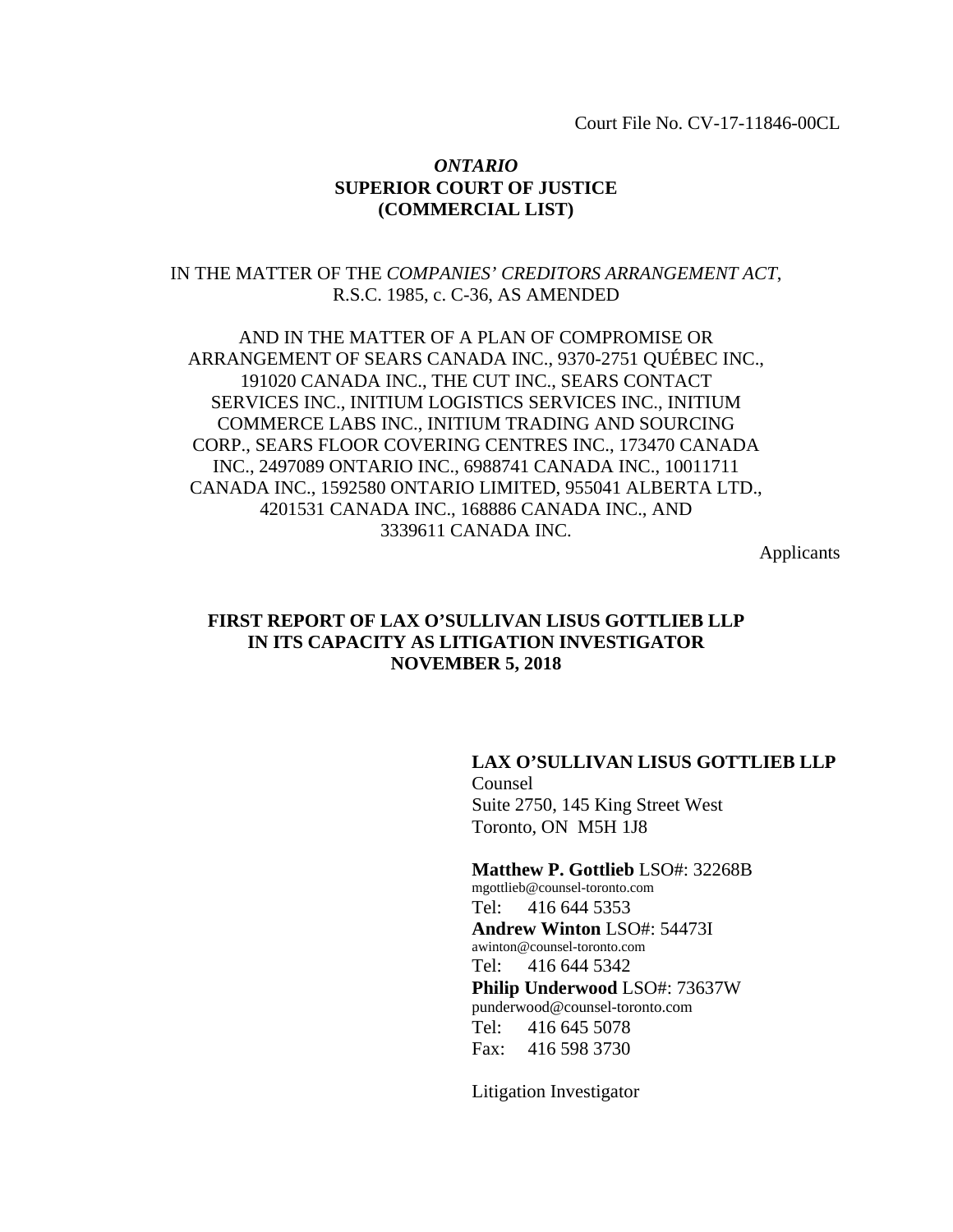Court File No. CV-17-11846-00CL

#### *ONTARIO*  **SUPERIOR COURT OF JUSTICE (COMMERCIAL LIST)**

# IN THE MATTER OF THE *COMPANIES' CREDITORS ARRANGEMENT ACT*, R.S.C. 1985, c. C-36, AS AMENDED

AND IN THE MATTER OF A PLAN OF COMPROMISE OR ARRANGEMENT OF SEARS CANADA INC., 9370-2751 QUÉBEC INC., 191020 CANADA INC., THE CUT INC., SEARS CONTACT SERVICES INC., INITIUM LOGISTICS SERVICES INC., INITIUM COMMERCE LABS INC., INITIUM TRADING AND SOURCING CORP., SEARS FLOOR COVERING CENTRES INC., 173470 CANADA INC., 2497089 ONTARIO INC., 6988741 CANADA INC., 10011711 CANADA INC., 1592580 ONTARIO LIMITED, 955041 ALBERTA LTD., 4201531 CANADA INC., 168886 CANADA INC., AND 3339611 CANADA INC.

Applicants

# **FIRST REPORT OF LAX O'SULLIVAN LISUS GOTTLIEB LLP IN ITS CAPACITY AS LITIGATION INVESTIGATOR NOVEMBER 5, 2018**

#### **LAX O'SULLIVAN LISUS GOTTLIEB LLP**

Counsel Suite 2750, 145 King Street West Toronto, ON M5H 1J8

**Matthew P. Gottlieb** LSO#: 32268B mgottlieb@counsel-toronto.com Tel: 416 644 5353 **Andrew Winton** LSO#: 54473I awinton@counsel-toronto.com Tel: 416 644 5342 **Philip Underwood** LSO#: 73637W punderwood@counsel-toronto.com Tel: 416 645 5078 Fax: 416 598 3730

Litigation Investigator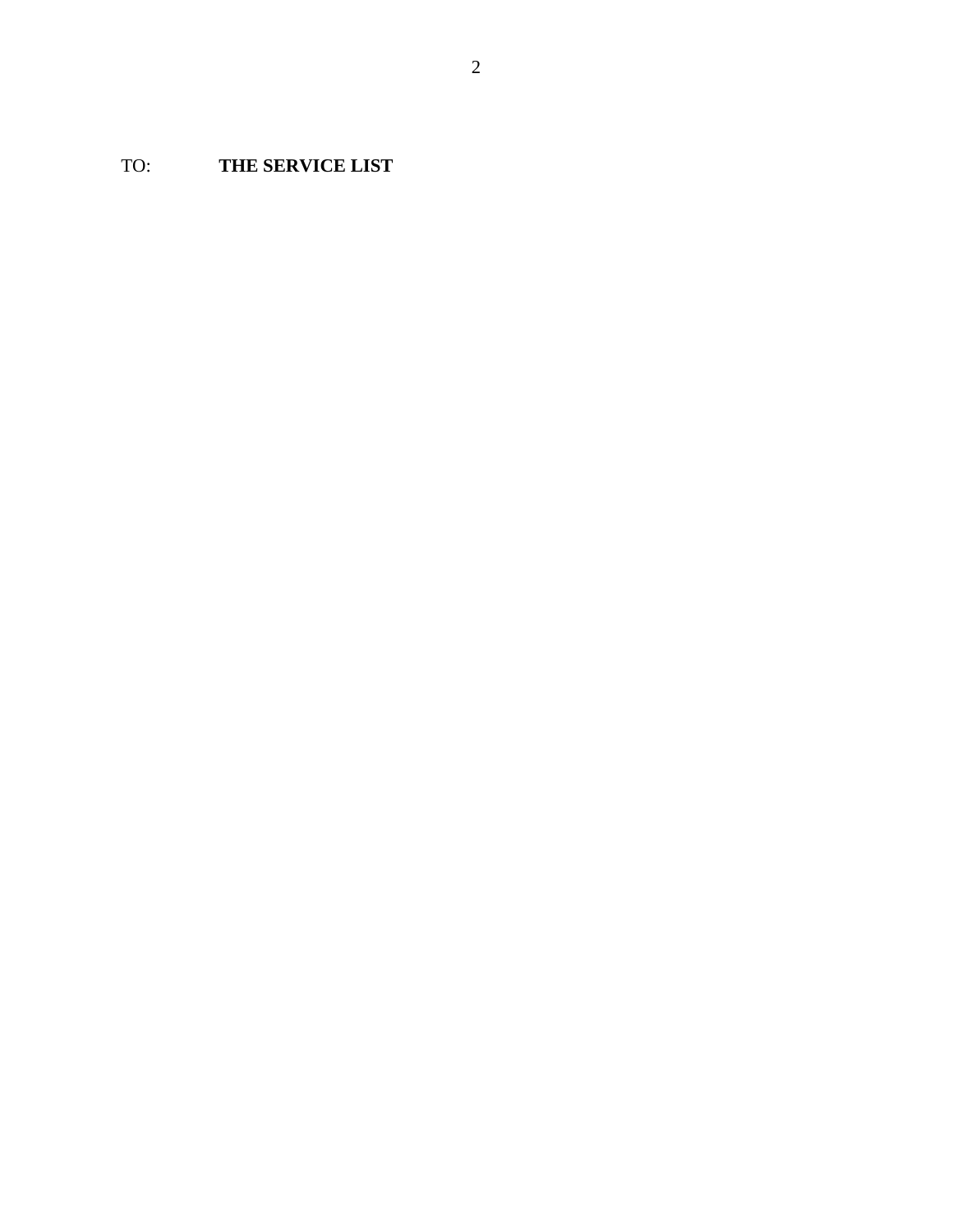TO: **THE SERVICE LIST**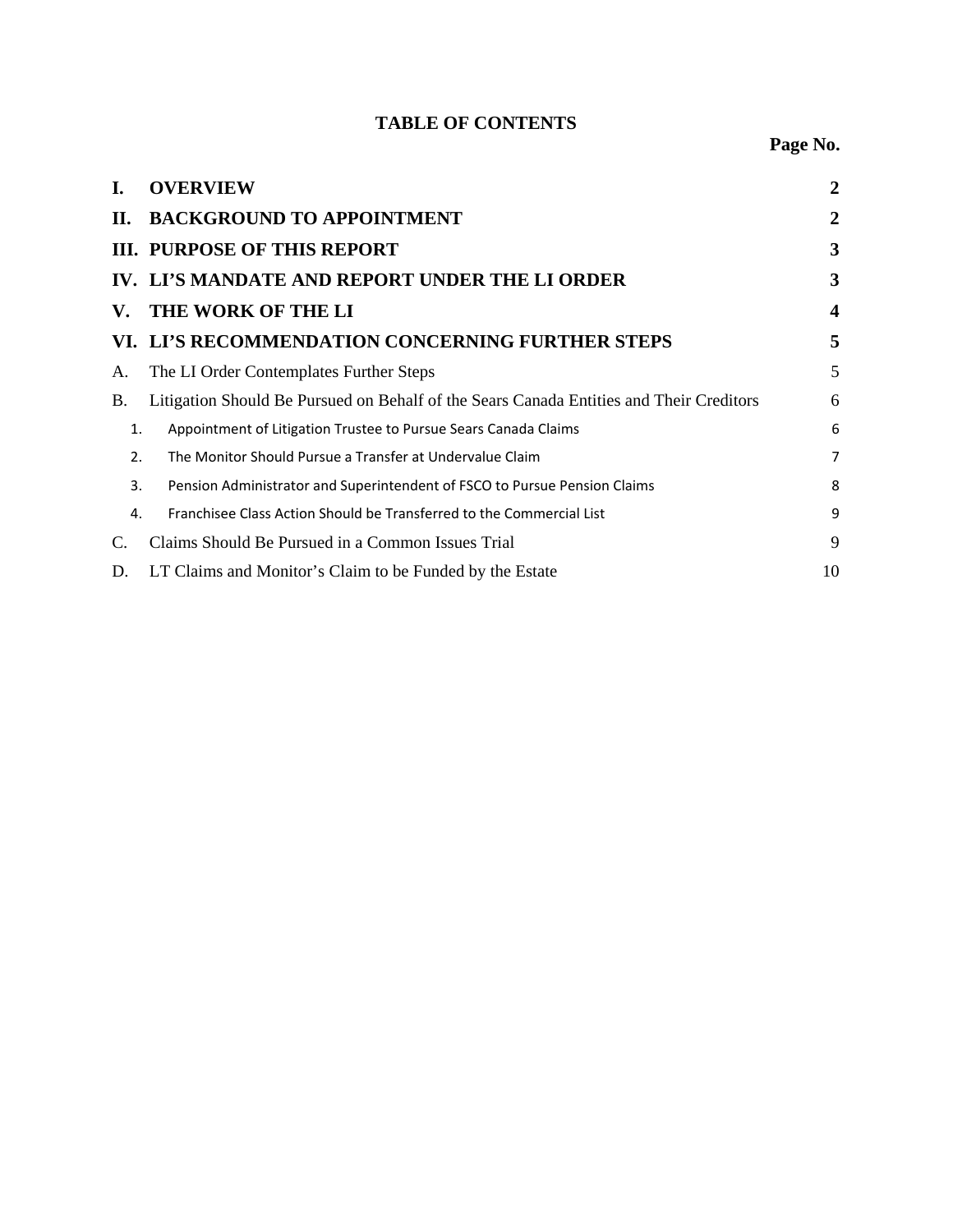# **TABLE OF CONTENTS**

| L.                        | <b>OVERVIEW</b>                                                                         | 2                       |
|---------------------------|-----------------------------------------------------------------------------------------|-------------------------|
| П.                        | <b>BACKGROUND TO APPOINTMENT</b>                                                        | $\overline{2}$          |
|                           | <b>III. PURPOSE OF THIS REPORT</b>                                                      | 3                       |
|                           | IV. LI'S MANDATE AND REPORT UNDER THE LI ORDER                                          | 3                       |
| $\mathbf{V}_{\mathbf{r}}$ | THE WORK OF THE LI                                                                      | $\overline{\mathbf{4}}$ |
|                           | VI. LI'S RECOMMENDATION CONCERNING FURTHER STEPS                                        | 5                       |
| А.                        | The LI Order Contemplates Further Steps                                                 | 5                       |
| B.                        | Litigation Should Be Pursued on Behalf of the Sears Canada Entities and Their Creditors | 6                       |
| 1.                        | Appointment of Litigation Trustee to Pursue Sears Canada Claims                         | 6                       |
| 2.                        | The Monitor Should Pursue a Transfer at Undervalue Claim                                | 7                       |
| 3.                        | Pension Administrator and Superintendent of FSCO to Pursue Pension Claims               | 8                       |
| 4.                        | Franchisee Class Action Should be Transferred to the Commercial List                    | 9                       |
| C.                        | Claims Should Be Pursued in a Common Issues Trial                                       | 9                       |
| D.                        | LT Claims and Monitor's Claim to be Funded by the Estate                                | 10                      |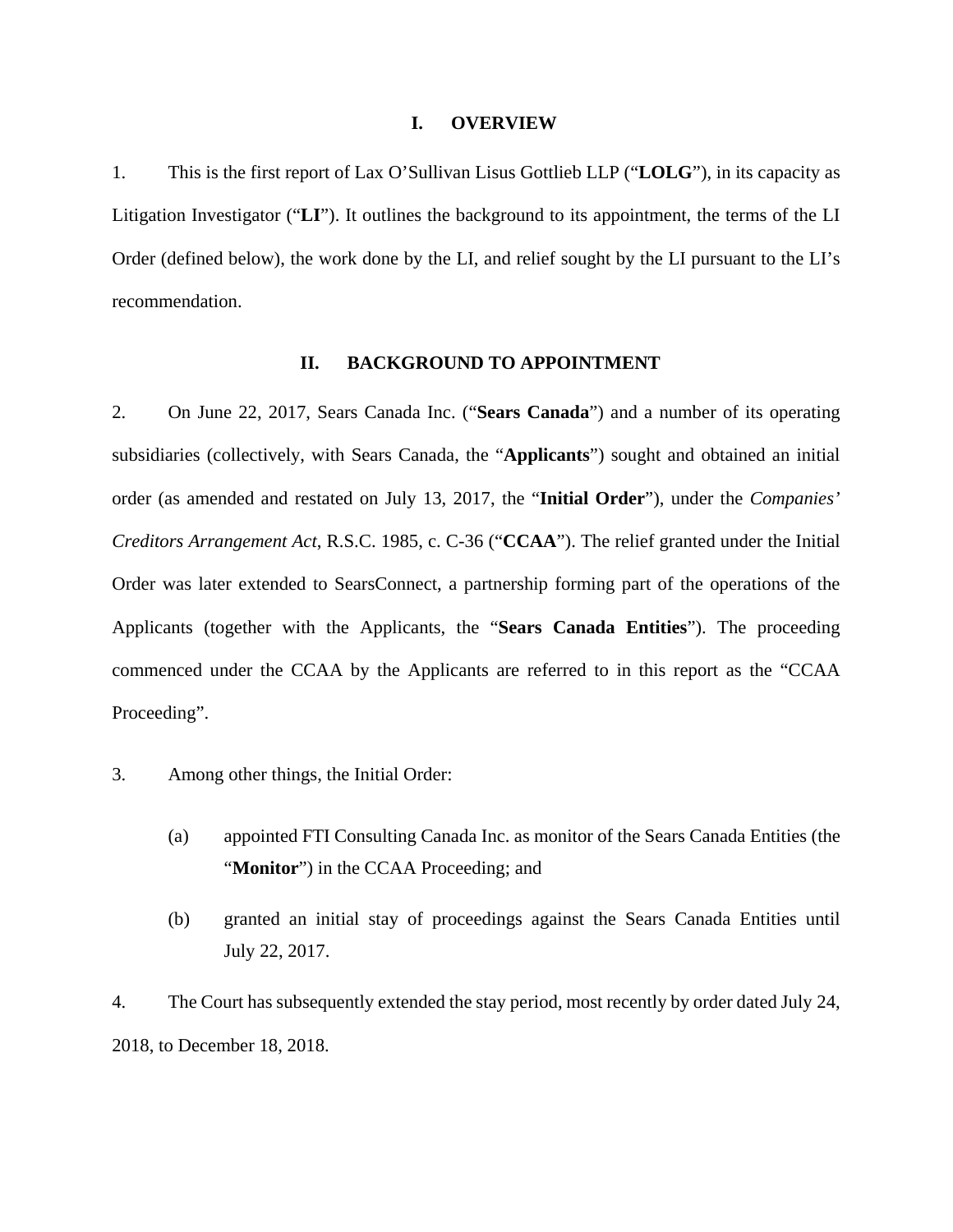#### **I. OVERVIEW**

1. This is the first report of Lax O'Sullivan Lisus Gottlieb LLP ("**LOLG**"), in its capacity as Litigation Investigator ("**LI**"). It outlines the background to its appointment, the terms of the LI Order (defined below), the work done by the LI, and relief sought by the LI pursuant to the LI's recommendation.

#### **II. BACKGROUND TO APPOINTMENT**

2. On June 22, 2017, Sears Canada Inc. ("**Sears Canada**") and a number of its operating subsidiaries (collectively, with Sears Canada, the "**Applicants**") sought and obtained an initial order (as amended and restated on July 13, 2017, the "**Initial Order**"), under the *Companies' Creditors Arrangement Act*, R.S.C. 1985, c. C-36 ("**CCAA**"). The relief granted under the Initial Order was later extended to SearsConnect, a partnership forming part of the operations of the Applicants (together with the Applicants, the "**Sears Canada Entities**"). The proceeding commenced under the CCAA by the Applicants are referred to in this report as the "CCAA Proceeding".

- 3. Among other things, the Initial Order:
	- (a) appointed FTI Consulting Canada Inc. as monitor of the Sears Canada Entities (the "**Monitor**") in the CCAA Proceeding; and
	- (b) granted an initial stay of proceedings against the Sears Canada Entities until July 22, 2017.

4. The Court has subsequently extended the stay period, most recently by order dated July 24, 2018, to December 18, 2018.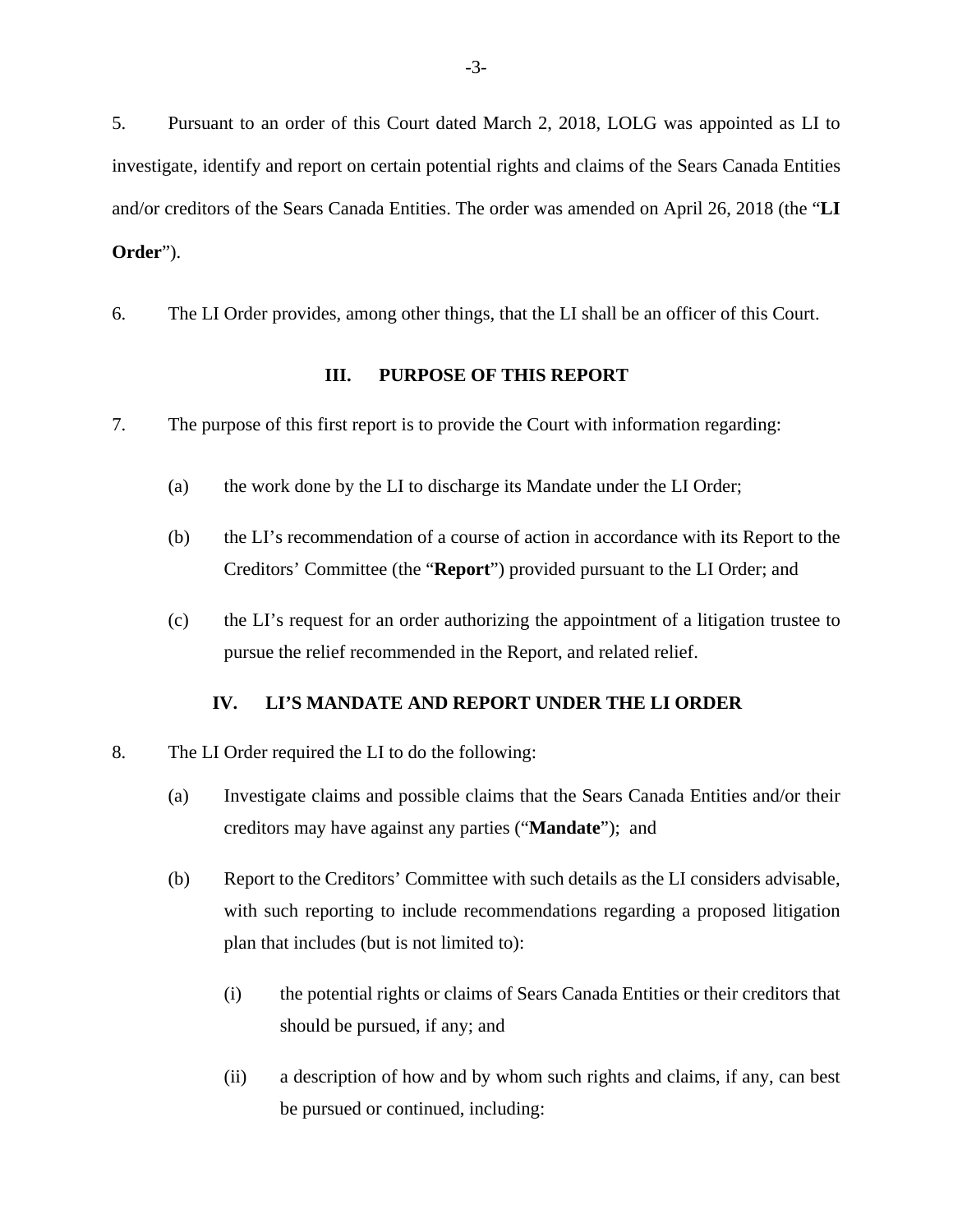5. Pursuant to an order of this Court dated March 2, 2018, LOLG was appointed as LI to investigate, identify and report on certain potential rights and claims of the Sears Canada Entities and/or creditors of the Sears Canada Entities. The order was amended on April 26, 2018 (the "**LI Order**").

6. The LI Order provides, among other things, that the LI shall be an officer of this Court.

#### **III. PURPOSE OF THIS REPORT**

- 7. The purpose of this first report is to provide the Court with information regarding:
	- (a) the work done by the LI to discharge its Mandate under the LI Order;
	- (b) the LI's recommendation of a course of action in accordance with its Report to the Creditors' Committee (the "**Report**") provided pursuant to the LI Order; and
	- (c) the LI's request for an order authorizing the appointment of a litigation trustee to pursue the relief recommended in the Report, and related relief.

#### **IV. LI'S MANDATE AND REPORT UNDER THE LI ORDER**

- 8. The LI Order required the LI to do the following:
	- (a) Investigate claims and possible claims that the Sears Canada Entities and/or their creditors may have against any parties ("**Mandate**"); and
	- (b) Report to the Creditors' Committee with such details as the LI considers advisable, with such reporting to include recommendations regarding a proposed litigation plan that includes (but is not limited to):
		- (i) the potential rights or claims of Sears Canada Entities or their creditors that should be pursued, if any; and
		- (ii) a description of how and by whom such rights and claims, if any, can best be pursued or continued, including: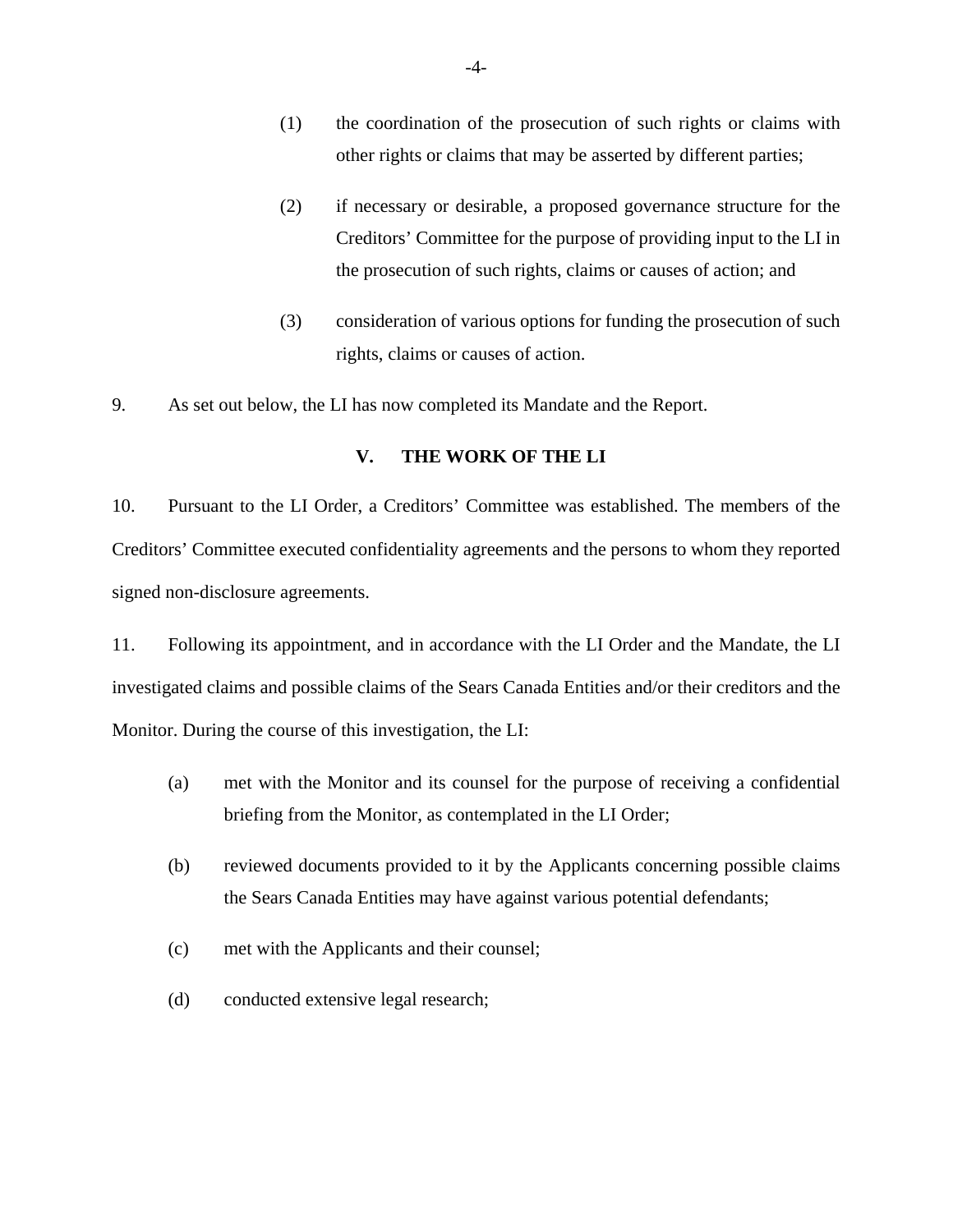- (1) the coordination of the prosecution of such rights or claims with other rights or claims that may be asserted by different parties;
- (2) if necessary or desirable, a proposed governance structure for the Creditors' Committee for the purpose of providing input to the LI in the prosecution of such rights, claims or causes of action; and
- (3) consideration of various options for funding the prosecution of such rights, claims or causes of action.

9. As set out below, the LI has now completed its Mandate and the Report.

#### **V. THE WORK OF THE LI**

10. Pursuant to the LI Order, a Creditors' Committee was established. The members of the Creditors' Committee executed confidentiality agreements and the persons to whom they reported signed non-disclosure agreements.

11. Following its appointment, and in accordance with the LI Order and the Mandate, the LI investigated claims and possible claims of the Sears Canada Entities and/or their creditors and the Monitor. During the course of this investigation, the LI:

- (a) met with the Monitor and its counsel for the purpose of receiving a confidential briefing from the Monitor, as contemplated in the LI Order;
- (b) reviewed documents provided to it by the Applicants concerning possible claims the Sears Canada Entities may have against various potential defendants;
- (c) met with the Applicants and their counsel;
- (d) conducted extensive legal research;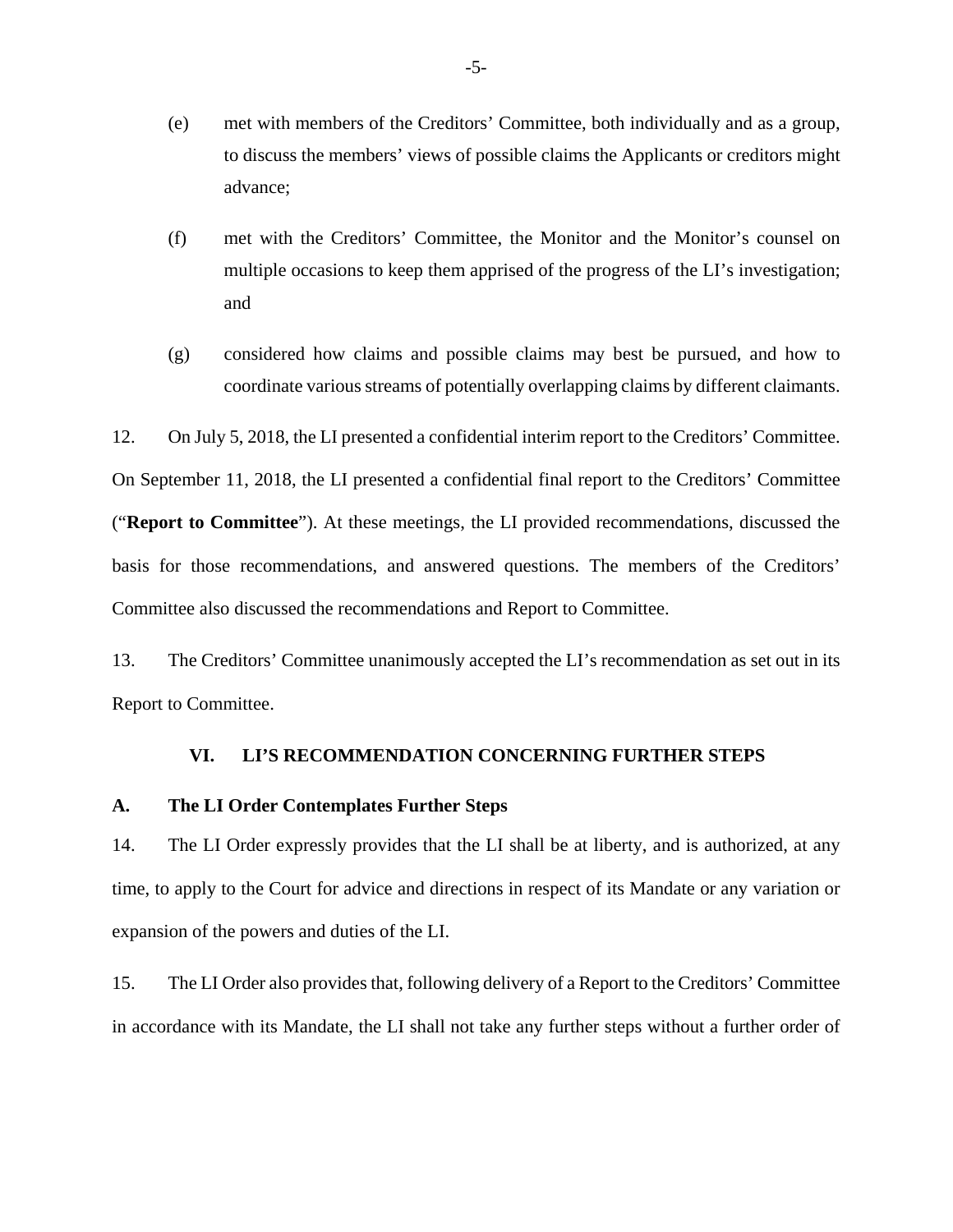- (e) met with members of the Creditors' Committee, both individually and as a group, to discuss the members' views of possible claims the Applicants or creditors might advance;
- (f) met with the Creditors' Committee, the Monitor and the Monitor's counsel on multiple occasions to keep them apprised of the progress of the LI's investigation; and
- (g) considered how claims and possible claims may best be pursued, and how to coordinate various streams of potentially overlapping claims by different claimants.

12. On July 5, 2018, the LI presented a confidential interim report to the Creditors' Committee.

On September 11, 2018, the LI presented a confidential final report to the Creditors' Committee

("**Report to Committee**"). At these meetings, the LI provided recommendations, discussed the basis for those recommendations, and answered questions. The members of the Creditors' Committee also discussed the recommendations and Report to Committee.

13. The Creditors' Committee unanimously accepted the LI's recommendation as set out in its Report to Committee.

# **VI. LI'S RECOMMENDATION CONCERNING FURTHER STEPS**

### **A. The LI Order Contemplates Further Steps**

14. The LI Order expressly provides that the LI shall be at liberty, and is authorized, at any time, to apply to the Court for advice and directions in respect of its Mandate or any variation or expansion of the powers and duties of the LI.

15. The LI Order also provides that, following delivery of a Report to the Creditors' Committee in accordance with its Mandate, the LI shall not take any further steps without a further order of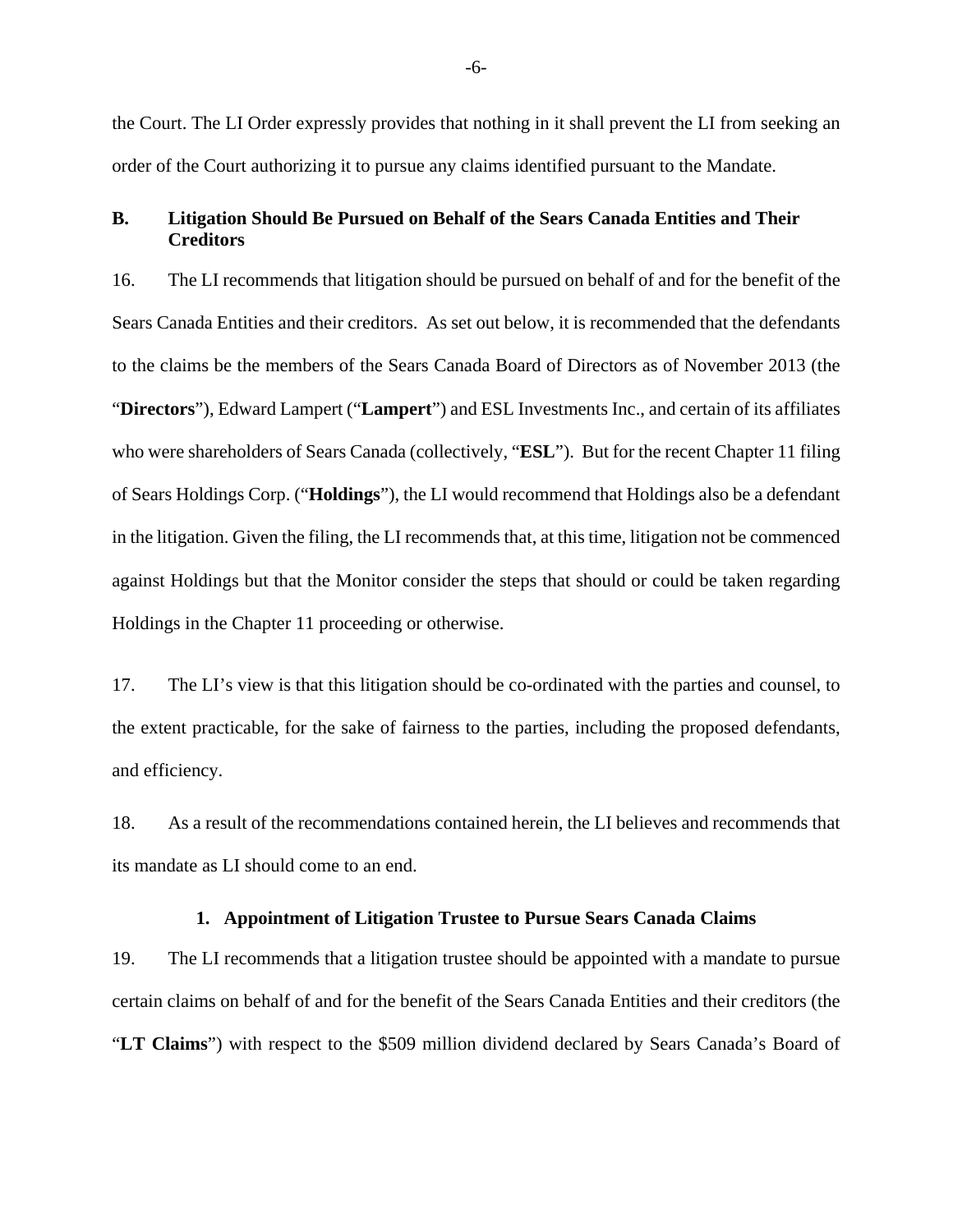the Court. The LI Order expressly provides that nothing in it shall prevent the LI from seeking an order of the Court authorizing it to pursue any claims identified pursuant to the Mandate.

#### **B. Litigation Should Be Pursued on Behalf of the Sears Canada Entities and Their Creditors**

16. The LI recommends that litigation should be pursued on behalf of and for the benefit of the Sears Canada Entities and their creditors. As set out below, it is recommended that the defendants to the claims be the members of the Sears Canada Board of Directors as of November 2013 (the "**Directors**"), Edward Lampert ("**Lampert**") and ESL Investments Inc., and certain of its affiliates who were shareholders of Sears Canada (collectively, "**ESL**"). But for the recent Chapter 11 filing of Sears Holdings Corp. ("**Holdings**"), the LI would recommend that Holdings also be a defendant in the litigation. Given the filing, the LI recommends that, at this time, litigation not be commenced against Holdings but that the Monitor consider the steps that should or could be taken regarding Holdings in the Chapter 11 proceeding or otherwise.

17. The LI's view is that this litigation should be co-ordinated with the parties and counsel, to the extent practicable, for the sake of fairness to the parties, including the proposed defendants, and efficiency.

18. As a result of the recommendations contained herein, the LI believes and recommends that its mandate as LI should come to an end.

#### **1. Appointment of Litigation Trustee to Pursue Sears Canada Claims**

19. The LI recommends that a litigation trustee should be appointed with a mandate to pursue certain claims on behalf of and for the benefit of the Sears Canada Entities and their creditors (the "**LT Claims**") with respect to the \$509 million dividend declared by Sears Canada's Board of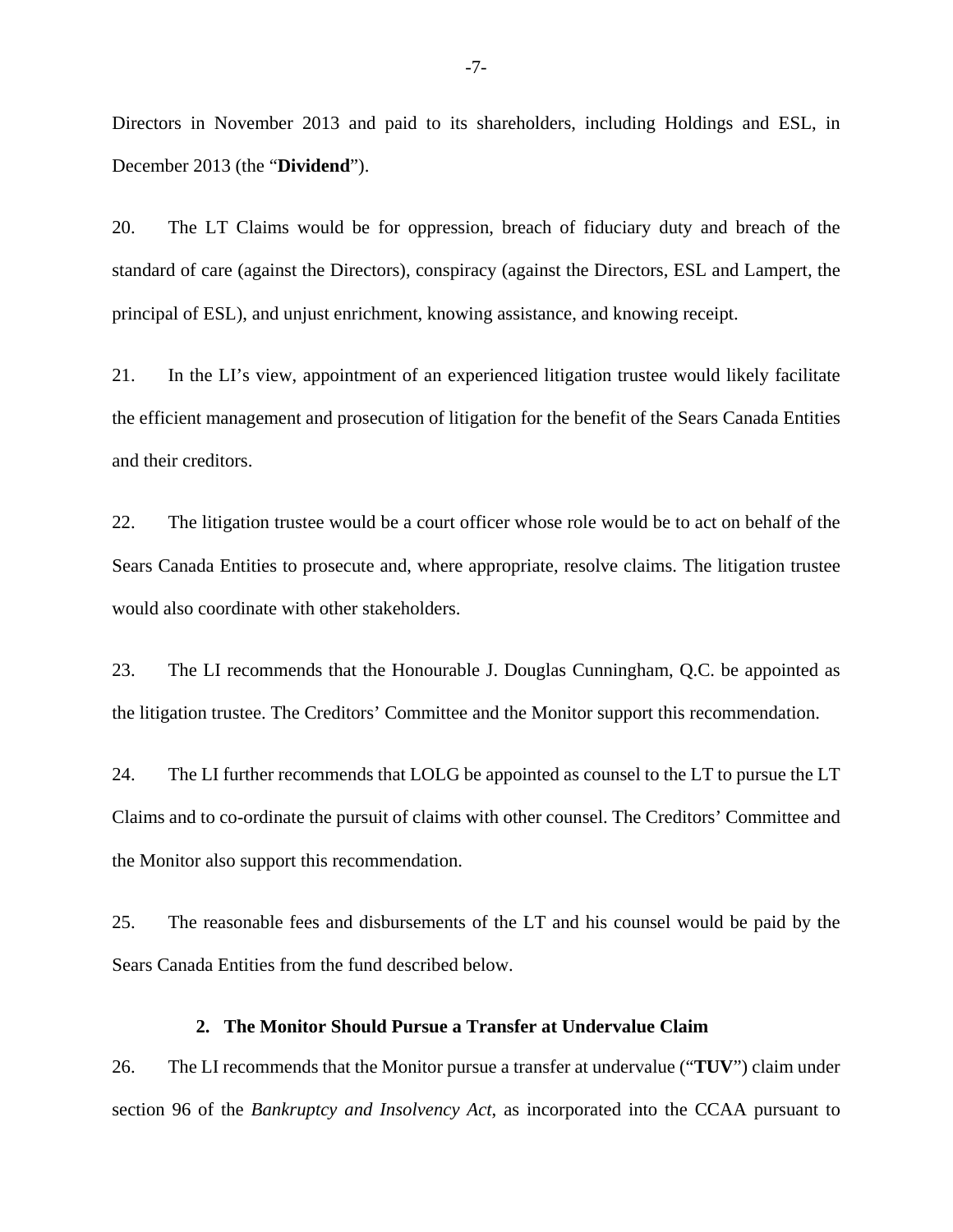Directors in November 2013 and paid to its shareholders, including Holdings and ESL, in December 2013 (the "**Dividend**").

20. The LT Claims would be for oppression, breach of fiduciary duty and breach of the standard of care (against the Directors), conspiracy (against the Directors, ESL and Lampert, the principal of ESL), and unjust enrichment, knowing assistance, and knowing receipt.

21. In the LI's view, appointment of an experienced litigation trustee would likely facilitate the efficient management and prosecution of litigation for the benefit of the Sears Canada Entities and their creditors.

22. The litigation trustee would be a court officer whose role would be to act on behalf of the Sears Canada Entities to prosecute and, where appropriate, resolve claims. The litigation trustee would also coordinate with other stakeholders.

23. The LI recommends that the Honourable J. Douglas Cunningham, Q.C. be appointed as the litigation trustee. The Creditors' Committee and the Monitor support this recommendation.

24. The LI further recommends that LOLG be appointed as counsel to the LT to pursue the LT Claims and to co-ordinate the pursuit of claims with other counsel. The Creditors' Committee and the Monitor also support this recommendation.

25. The reasonable fees and disbursements of the LT and his counsel would be paid by the Sears Canada Entities from the fund described below.

#### **2. The Monitor Should Pursue a Transfer at Undervalue Claim**

26. The LI recommends that the Monitor pursue a transfer at undervalue ("**TUV**") claim under section 96 of the *Bankruptcy and Insolvency Act*, as incorporated into the CCAA pursuant to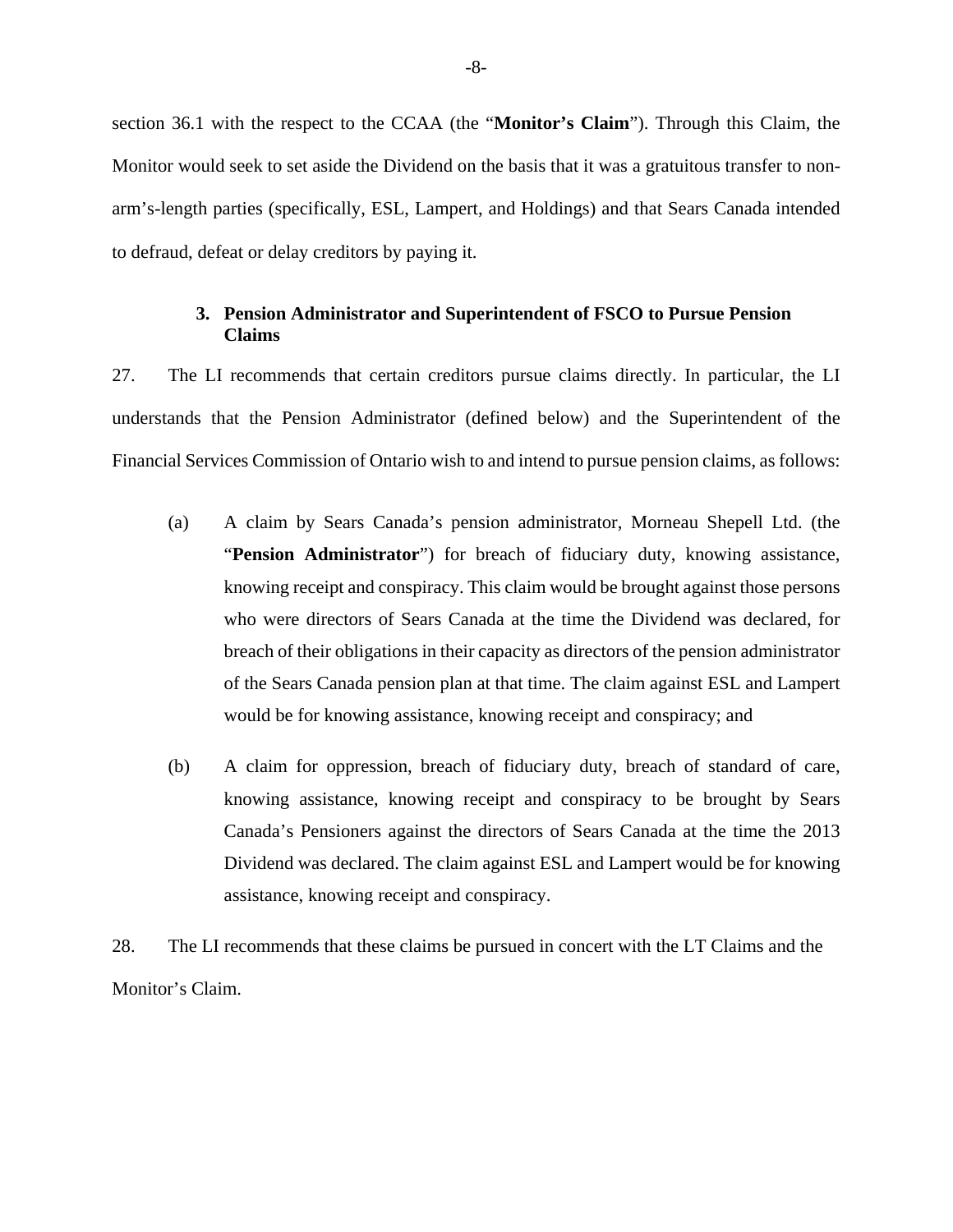section 36.1 with the respect to the CCAA (the "**Monitor's Claim**"). Through this Claim, the Monitor would seek to set aside the Dividend on the basis that it was a gratuitous transfer to nonarm's-length parties (specifically, ESL, Lampert, and Holdings) and that Sears Canada intended to defraud, defeat or delay creditors by paying it.

## **3. Pension Administrator and Superintendent of FSCO to Pursue Pension Claims**

27. The LI recommends that certain creditors pursue claims directly. In particular, the LI understands that the Pension Administrator (defined below) and the Superintendent of the Financial Services Commission of Ontario wish to and intend to pursue pension claims, as follows:

- (a) A claim by Sears Canada's pension administrator, Morneau Shepell Ltd. (the "**Pension Administrator**") for breach of fiduciary duty, knowing assistance, knowing receipt and conspiracy. This claim would be brought against those persons who were directors of Sears Canada at the time the Dividend was declared, for breach of their obligations in their capacity as directors of the pension administrator of the Sears Canada pension plan at that time. The claim against ESL and Lampert would be for knowing assistance, knowing receipt and conspiracy; and
- (b) A claim for oppression, breach of fiduciary duty, breach of standard of care, knowing assistance, knowing receipt and conspiracy to be brought by Sears Canada's Pensioners against the directors of Sears Canada at the time the 2013 Dividend was declared. The claim against ESL and Lampert would be for knowing assistance, knowing receipt and conspiracy.

28. The LI recommends that these claims be pursued in concert with the LT Claims and the Monitor's Claim.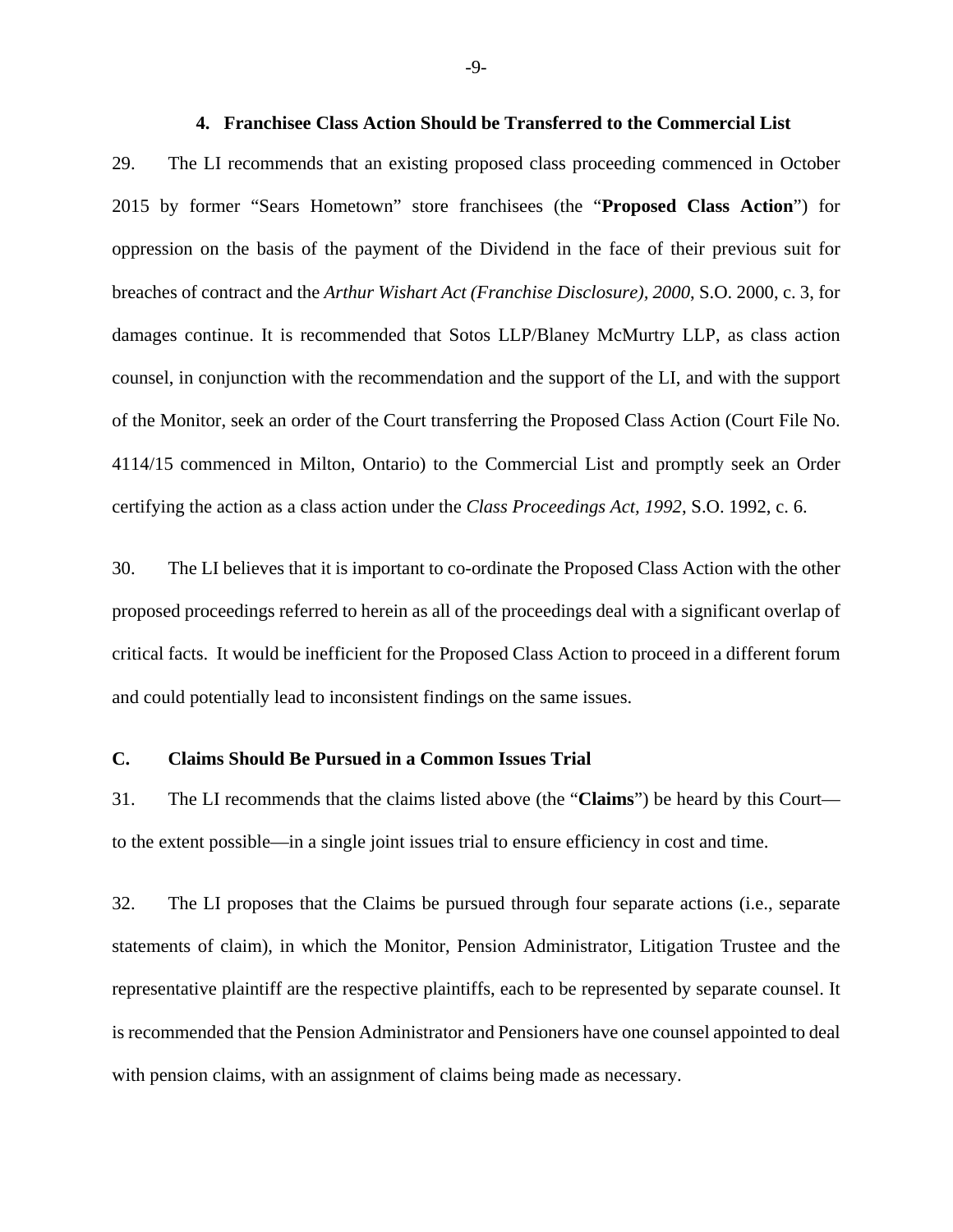#### **4. Franchisee Class Action Should be Transferred to the Commercial List**

29. The LI recommends that an existing proposed class proceeding commenced in October 2015 by former "Sears Hometown" store franchisees (the "**Proposed Class Action**") for oppression on the basis of the payment of the Dividend in the face of their previous suit for breaches of contract and the *Arthur Wishart Act (Franchise Disclosure), 2000*, S.O. 2000, c. 3, for damages continue. It is recommended that Sotos LLP/Blaney McMurtry LLP, as class action counsel, in conjunction with the recommendation and the support of the LI, and with the support of the Monitor, seek an order of the Court transferring the Proposed Class Action (Court File No. 4114/15 commenced in Milton, Ontario) to the Commercial List and promptly seek an Order certifying the action as a class action under the *Class Proceedings Act, 1992*, S.O. 1992, c. 6.

30. The LI believes that it is important to co-ordinate the Proposed Class Action with the other proposed proceedings referred to herein as all of the proceedings deal with a significant overlap of critical facts. It would be inefficient for the Proposed Class Action to proceed in a different forum and could potentially lead to inconsistent findings on the same issues.

#### **C. Claims Should Be Pursued in a Common Issues Trial**

31. The LI recommends that the claims listed above (the "**Claims**") be heard by this Court to the extent possible—in a single joint issues trial to ensure efficiency in cost and time.

32. The LI proposes that the Claims be pursued through four separate actions (i.e., separate statements of claim), in which the Monitor, Pension Administrator, Litigation Trustee and the representative plaintiff are the respective plaintiffs, each to be represented by separate counsel. It is recommended that the Pension Administrator and Pensioners have one counsel appointed to deal with pension claims, with an assignment of claims being made as necessary.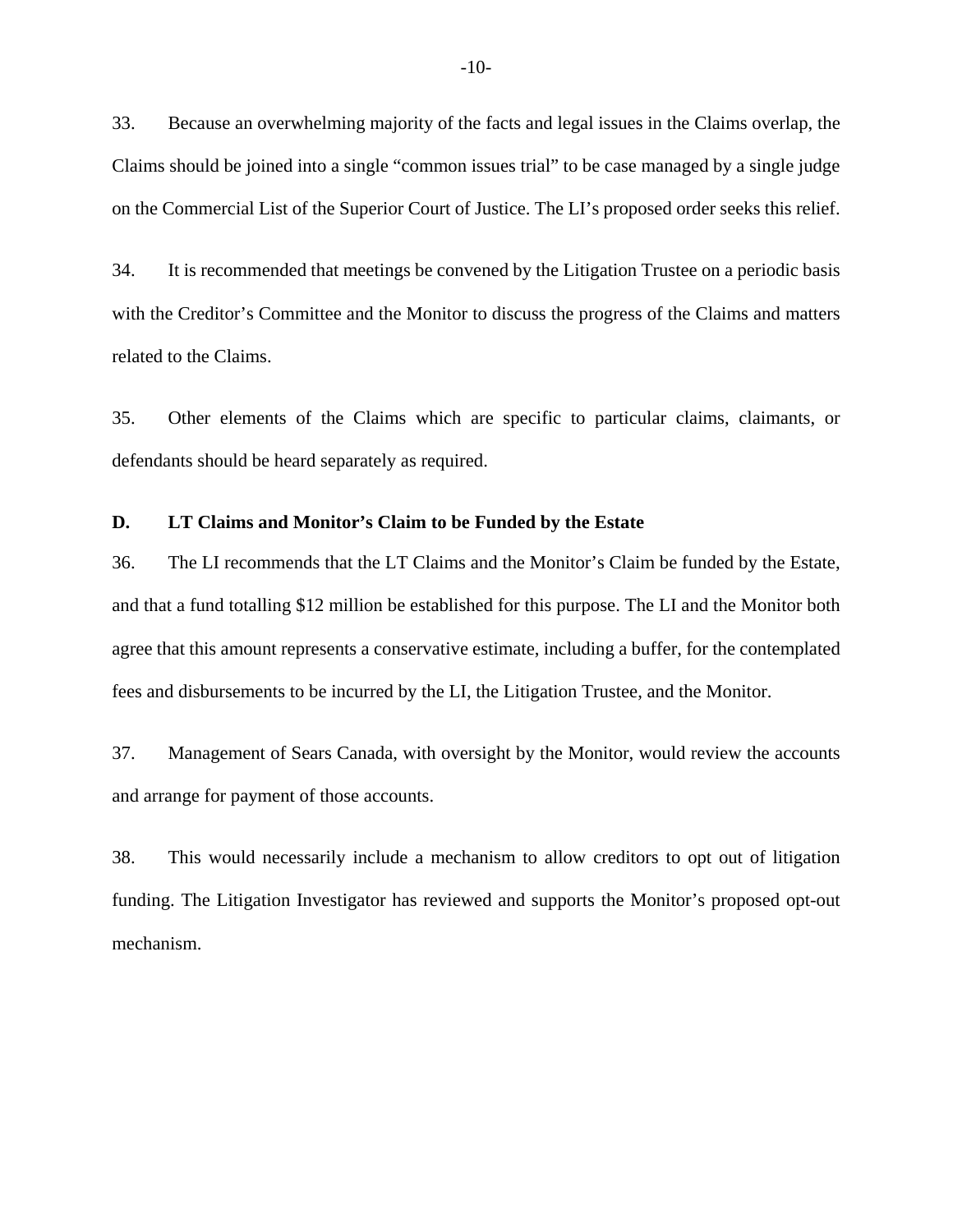33. Because an overwhelming majority of the facts and legal issues in the Claims overlap, the Claims should be joined into a single "common issues trial" to be case managed by a single judge on the Commercial List of the Superior Court of Justice. The LI's proposed order seeks this relief.

34. It is recommended that meetings be convened by the Litigation Trustee on a periodic basis with the Creditor's Committee and the Monitor to discuss the progress of the Claims and matters related to the Claims.

35. Other elements of the Claims which are specific to particular claims, claimants, or defendants should be heard separately as required.

#### **D. LT Claims and Monitor's Claim to be Funded by the Estate**

36. The LI recommends that the LT Claims and the Monitor's Claim be funded by the Estate, and that a fund totalling \$12 million be established for this purpose. The LI and the Monitor both agree that this amount represents a conservative estimate, including a buffer, for the contemplated fees and disbursements to be incurred by the LI, the Litigation Trustee, and the Monitor.

37. Management of Sears Canada, with oversight by the Monitor, would review the accounts and arrange for payment of those accounts.

38. This would necessarily include a mechanism to allow creditors to opt out of litigation funding. The Litigation Investigator has reviewed and supports the Monitor's proposed opt-out mechanism.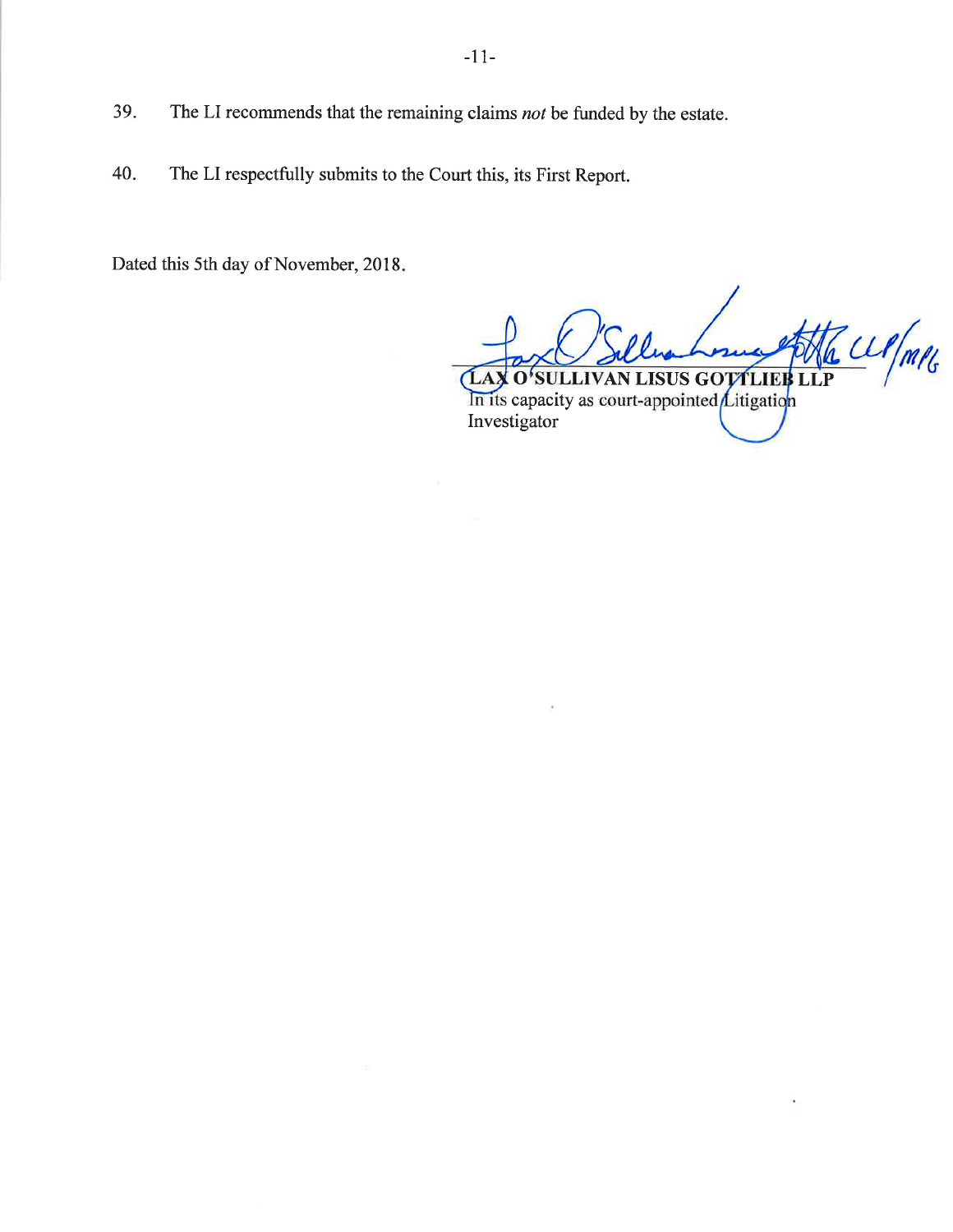- The LI recommends that the remaining claims not be funded by the estate.
- $40.$ The LI respectfully submits to the Court this, its First Report.

Dated this 5th day of November, 2018.

39.

Z W/m/G **SULLIVAN LISUS GOTTLIEF** LA) I O In its capacity as court-appointed  $\angle$ itigation Investigator